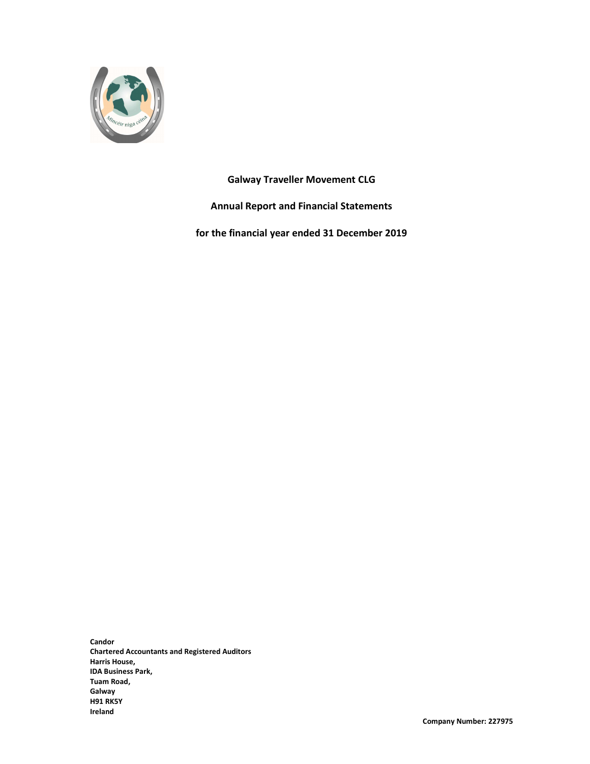

### Galway Traveller Movement CLG

## Annual Report and Financial Statements

for the financial year ended 31 December 2019

Candor Chartered Accountants and Registered Auditors Harris House, IDA Business Park, Tuam Road, Galway H91 RK5Y Ireland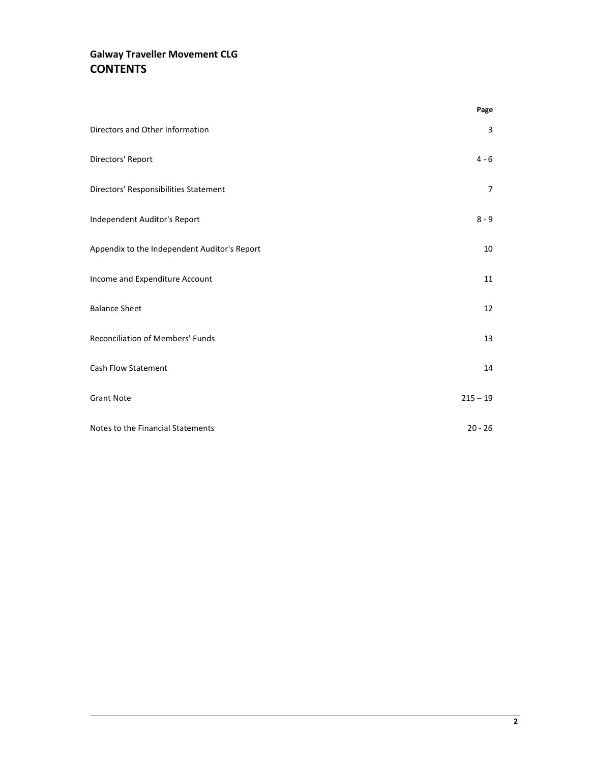# Galway Traveller Movement CLG **CONTENTS**

|                                              | Page           |
|----------------------------------------------|----------------|
| Directors and Other Information              | 3              |
| Directors' Report                            | $4 - 6$        |
| Directors' Responsibilities Statement        | $\overline{7}$ |
| Independent Auditor's Report                 | $8 - 9$        |
| Appendix to the Independent Auditor's Report | 10             |
| Income and Expenditure Account               | 11             |
| <b>Balance Sheet</b>                         | 12             |
| <b>Reconciliation of Members' Funds</b>      | 13             |
| Cash Flow Statement                          | 14             |
| <b>Grant Note</b>                            | $215 - 19$     |
| Notes to the Financial Statements            | $20 - 26$      |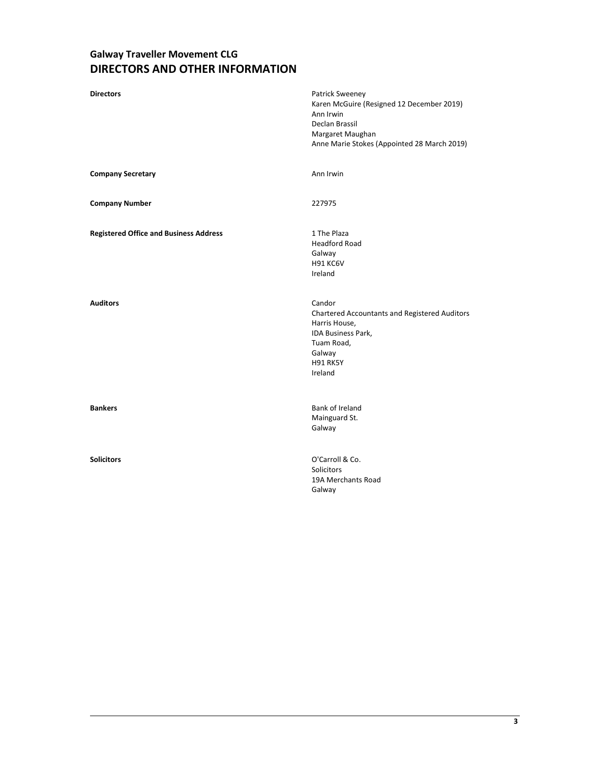# Galway Traveller Movement CLG DIRECTORS AND OTHER INFORMATION

| <b>Directors</b>                              | Patrick Sweeney<br>Karen McGuire (Resigned 12 December 2019)<br>Ann Irwin<br>Declan Brassil<br>Margaret Maughan<br>Anne Marie Stokes (Appointed 28 March 2019) |
|-----------------------------------------------|----------------------------------------------------------------------------------------------------------------------------------------------------------------|
| <b>Company Secretary</b>                      | Ann Irwin                                                                                                                                                      |
| <b>Company Number</b>                         | 227975                                                                                                                                                         |
| <b>Registered Office and Business Address</b> | 1 The Plaza<br><b>Headford Road</b><br>Galway<br>H91 KC6V<br>Ireland                                                                                           |
| <b>Auditors</b>                               | Candor<br>Chartered Accountants and Registered Auditors<br>Harris House,<br>IDA Business Park,<br>Tuam Road,<br>Galway<br><b>H91 RK5Y</b><br>Ireland           |
| <b>Bankers</b>                                | Bank of Ireland<br>Mainguard St.<br>Galway                                                                                                                     |
| <b>Solicitors</b>                             | O'Carroll & Co.<br>Solicitors<br>19A Merchants Road<br>Galway                                                                                                  |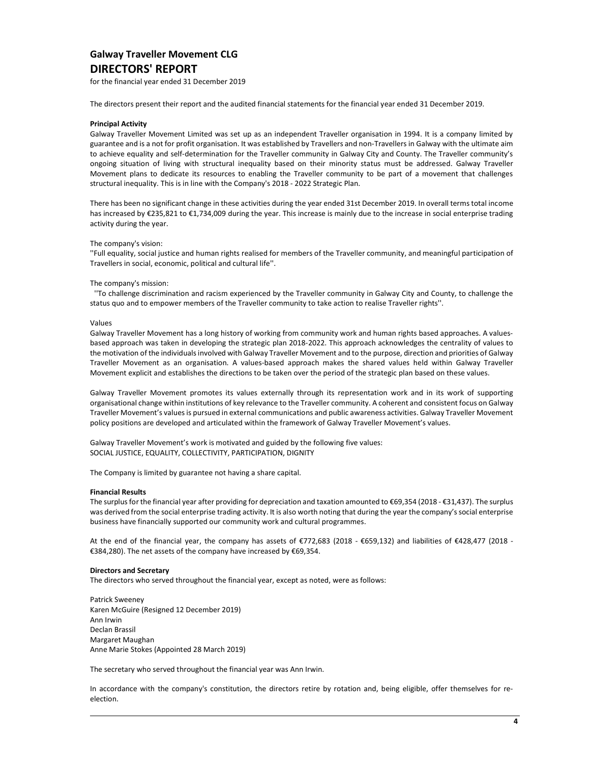# Galway Traveller Movement CLG DIRECTORS' REPORT

for the financial year ended 31 December 2019

The directors present their report and the audited financial statements for the financial year ended 31 December 2019.

#### Principal Activity

Galway Traveller Movement Limited was set up as an independent Traveller organisation in 1994. It is a company limited by guarantee and is a not for profit organisation. It was established by Travellers and non-Travellers in Galway with the ultimate aim to achieve equality and self-determination for the Traveller community in Galway City and County. The Traveller community's ongoing situation of living with structural inequality based on their minority status must be addressed. Galway Traveller Movement plans to dedicate its resources to enabling the Traveller community to be part of a movement that challenges structural inequality. This is in line with the Company's 2018 - 2022 Strategic Plan.

There has been no significant change in these activities during the year ended 31st December 2019. In overall terms total income has increased by €235,821 to €1,734,009 during the year. This increase is mainly due to the increase in social enterprise trading activity during the year.

#### The company's vision:

''Full equality, social justice and human rights realised for members of the Traveller community, and meaningful participation of Travellers in social, economic, political and cultural life''.

#### The company's mission:

''To challenge discrimination and racism experienced by the Traveller community in Galway City and County, to challenge the status quo and to empower members of the Traveller community to take action to realise Traveller rights''.

#### Values

Galway Traveller Movement has a long history of working from community work and human rights based approaches. A valuesbased approach was taken in developing the strategic plan 2018-2022. This approach acknowledges the centrality of values to the motivation of the individuals involved with Galway Traveller Movement and to the purpose, direction and priorities of Galway Traveller Movement as an organisation. A values-based approach makes the shared values held within Galway Traveller Movement explicit and establishes the directions to be taken over the period of the strategic plan based on these values.

Galway Traveller Movement promotes its values externally through its representation work and in its work of supporting organisational change within institutions of key relevance to the Traveller community. A coherent and consistent focus on Galway Traveller Movement's values is pursued in external communications and public awareness activities. Galway Traveller Movement policy positions are developed and articulated within the framework of Galway Traveller Movement's values.

Galway Traveller Movement's work is motivated and guided by the following five values: SOCIAL JUSTICE, EQUALITY, COLLECTIVITY, PARTICIPATION, DIGNITY

The Company is limited by guarantee not having a share capital.

### Financial Results

The surplus for the financial year after providing for depreciation and taxation amounted to €69,354 (2018 - €31,437). The surplus was derived from the social enterprise trading activity. It is also worth noting that during the year the company's social enterprise business have financially supported our community work and cultural programmes.

At the end of the financial year, the company has assets of €772,683 (2018 - €659,132) and liabilities of €428,477 (2018 - €384,280). The net assets of the company have increased by €69,354.

#### Directors and Secretary

The directors who served throughout the financial year, except as noted, were as follows:

Patrick Sweeney Karen McGuire (Resigned 12 December 2019) Ann Irwin Declan Brassil Margaret Maughan Anne Marie Stokes (Appointed 28 March 2019)

The secretary who served throughout the financial year was Ann Irwin.

In accordance with the company's constitution, the directors retire by rotation and, being eligible, offer themselves for reelection.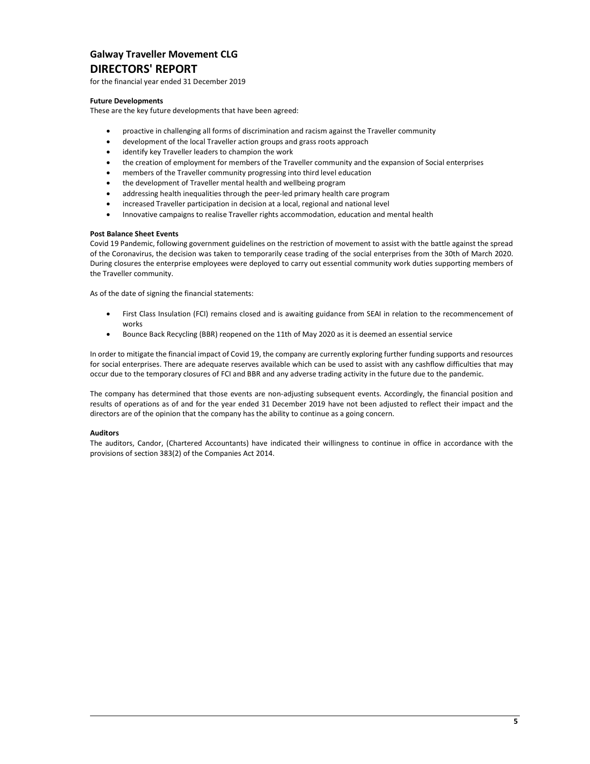# Galway Traveller Movement CLG DIRECTORS' REPORT

for the financial year ended 31 December 2019

### Future Developments

These are the key future developments that have been agreed:

- proactive in challenging all forms of discrimination and racism against the Traveller community
- development of the local Traveller action groups and grass roots approach
- identify key Traveller leaders to champion the work
- the creation of employment for members of the Traveller community and the expansion of Social enterprises
- members of the Traveller community progressing into third level education
- the development of Traveller mental health and wellbeing program
- addressing health inequalities through the peer-led primary health care program
- increased Traveller participation in decision at a local, regional and national level
- Innovative campaigns to realise Traveller rights accommodation, education and mental health

### Post Balance Sheet Events

Covid 19 Pandemic, following government guidelines on the restriction of movement to assist with the battle against the spread of the Coronavirus, the decision was taken to temporarily cease trading of the social enterprises from the 30th of March 2020. During closures the enterprise employees were deployed to carry out essential community work duties supporting members of the Traveller community.

As of the date of signing the financial statements:

- First Class Insulation (FCI) remains closed and is awaiting guidance from SEAI in relation to the recommencement of works
- Bounce Back Recycling (BBR) reopened on the 11th of May 2020 as it is deemed an essential service

In order to mitigate the financial impact of Covid 19, the company are currently exploring further funding supports and resources for social enterprises. There are adequate reserves available which can be used to assist with any cashflow difficulties that may occur due to the temporary closures of FCI and BBR and any adverse trading activity in the future due to the pandemic.

The company has determined that those events are non-adjusting subsequent events. Accordingly, the financial position and results of operations as of and for the year ended 31 December 2019 have not been adjusted to reflect their impact and the directors are of the opinion that the company has the ability to continue as a going concern.

#### Auditors

The auditors, Candor, (Chartered Accountants) have indicated their willingness to continue in office in accordance with the provisions of section 383(2) of the Companies Act 2014.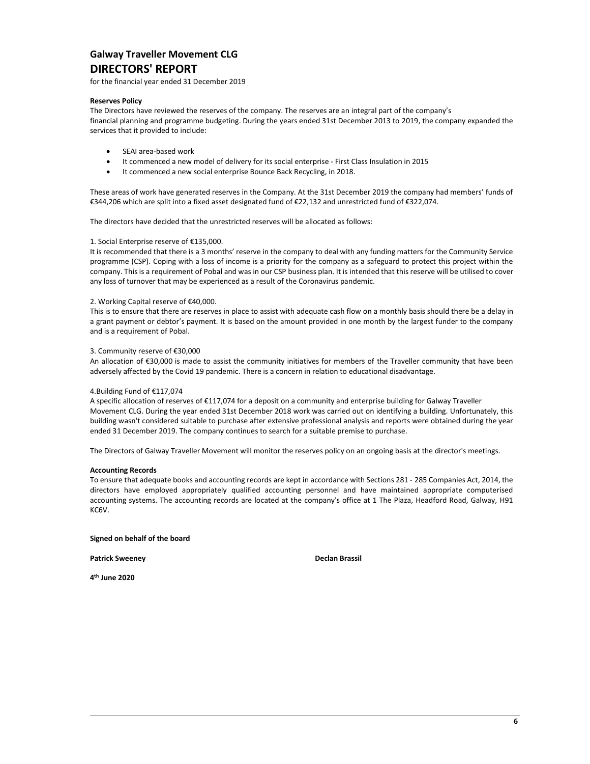# Galway Traveller Movement CLG DIRECTORS' REPORT

for the financial year ended 31 December 2019

### Reserves Policy

The Directors have reviewed the reserves of the company. The reserves are an integral part of the company's financial planning and programme budgeting. During the years ended 31st December 2013 to 2019, the company expanded the services that it provided to include:

- SEAI area-based work
- It commenced a new model of delivery for its social enterprise First Class Insulation in 2015
- It commenced a new social enterprise Bounce Back Recycling, in 2018.

These areas of work have generated reserves in the Company. At the 31st December 2019 the company had members' funds of €344,206 which are split into a fixed asset designated fund of €22,132 and unrestricted fund of €322,074.

The directors have decided that the unrestricted reserves will be allocated as follows:

### 1. Social Enterprise reserve of €135,000.

It is recommended that there is a 3 months' reserve in the company to deal with any funding matters for the Community Service programme (CSP). Coping with a loss of income is a priority for the company as a safeguard to protect this project within the company. This is a requirement of Pobal and was in our CSP business plan. It is intended that this reserve will be utilised to cover any loss of turnover that may be experienced as a result of the Coronavirus pandemic.

### 2. Working Capital reserve of €40,000.

This is to ensure that there are reserves in place to assist with adequate cash flow on a monthly basis should there be a delay in a grant payment or debtor's payment. It is based on the amount provided in one month by the largest funder to the company and is a requirement of Pobal.

### 3. Community reserve of €30,000

An allocation of €30,000 is made to assist the community initiatives for members of the Traveller community that have been adversely affected by the Covid 19 pandemic. There is a concern in relation to educational disadvantage.

#### 4.Building Fund of €117,074

A specific allocation of reserves of €117,074 for a deposit on a community and enterprise building for Galway Traveller Movement CLG. During the year ended 31st December 2018 work was carried out on identifying a building. Unfortunately, this building wasn't considered suitable to purchase after extensive professional analysis and reports were obtained during the year ended 31 December 2019. The company continues to search for a suitable premise to purchase.

The Directors of Galway Traveller Movement will monitor the reserves policy on an ongoing basis at the director's meetings.

#### Accounting Records

To ensure that adequate books and accounting records are kept in accordance with Sections 281 - 285 Companies Act, 2014, the directors have employed appropriately qualified accounting personnel and have maintained appropriate computerised accounting systems. The accounting records are located at the company's office at 1 The Plaza, Headford Road, Galway, H91 KC6V.

#### Signed on behalf of the board

Patrick Sweeney **Declan Brassil** 

4 th June 2020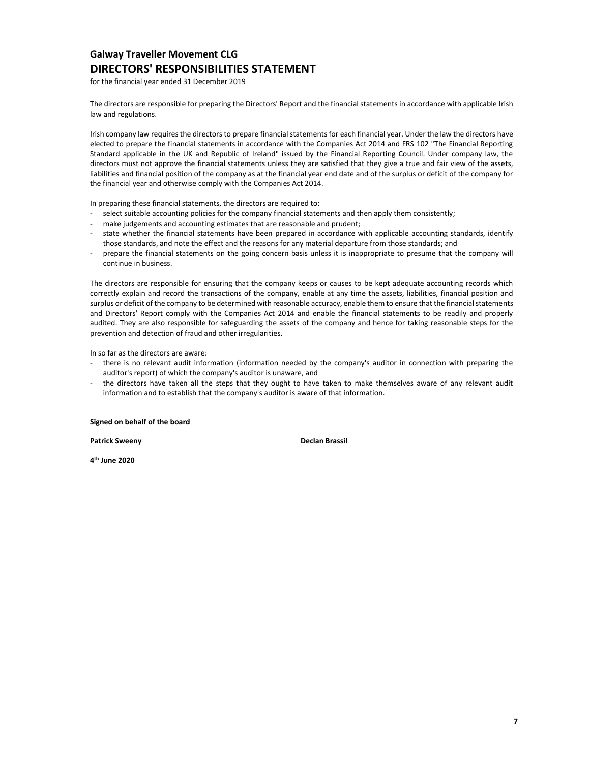# Galway Traveller Movement CLG DIRECTORS' RESPONSIBILITIES STATEMENT

for the financial year ended 31 December 2019

The directors are responsible for preparing the Directors' Report and the financial statements in accordance with applicable Irish law and regulations.

Irish company law requires the directors to prepare financial statements for each financial year. Under the law the directors have elected to prepare the financial statements in accordance with the Companies Act 2014 and FRS 102 "The Financial Reporting Standard applicable in the UK and Republic of Ireland" issued by the Financial Reporting Council. Under company law, the directors must not approve the financial statements unless they are satisfied that they give a true and fair view of the assets, liabilities and financial position of the company as at the financial year end date and of the surplus or deficit of the company for the financial year and otherwise comply with the Companies Act 2014.

In preparing these financial statements, the directors are required to:

- select suitable accounting policies for the company financial statements and then apply them consistently;
- make judgements and accounting estimates that are reasonable and prudent;
- state whether the financial statements have been prepared in accordance with applicable accounting standards, identify those standards, and note the effect and the reasons for any material departure from those standards; and
- prepare the financial statements on the going concern basis unless it is inappropriate to presume that the company will continue in business.

The directors are responsible for ensuring that the company keeps or causes to be kept adequate accounting records which correctly explain and record the transactions of the company, enable at any time the assets, liabilities, financial position and surplus or deficit of the company to be determined with reasonable accuracy, enable them to ensure that the financial statements and Directors' Report comply with the Companies Act 2014 and enable the financial statements to be readily and properly audited. They are also responsible for safeguarding the assets of the company and hence for taking reasonable steps for the prevention and detection of fraud and other irregularities.

In so far as the directors are aware:

- there is no relevant audit information (information needed by the company's auditor in connection with preparing the auditor's report) of which the company's auditor is unaware, and
- the directors have taken all the steps that they ought to have taken to make themselves aware of any relevant audit information and to establish that the company's auditor is aware of that information.

Signed on behalf of the board

Patrick Sweeny **Declan Brassil** 

4 th June 2020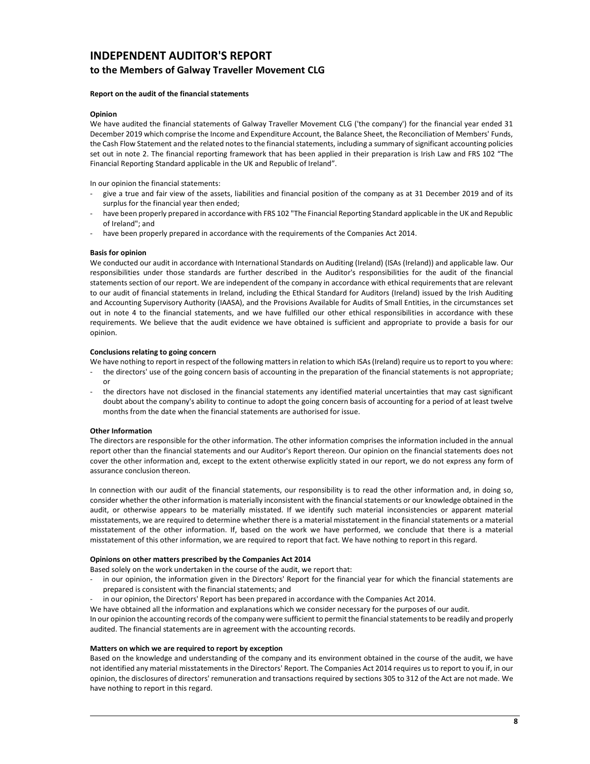# INDEPENDENT AUDITOR'S REPORT

### to the Members of Galway Traveller Movement CLG

### Report on the audit of the financial statements

### Opinion

We have audited the financial statements of Galway Traveller Movement CLG ('the company') for the financial year ended 31 December 2019 which comprise the Income and Expenditure Account, the Balance Sheet, the Reconciliation of Members' Funds, the Cash Flow Statement and the related notes to the financial statements, including a summary of significant accounting policies set out in note 2. The financial reporting framework that has been applied in their preparation is Irish Law and FRS 102 "The Financial Reporting Standard applicable in the UK and Republic of Ireland".

In our opinion the financial statements:

- give a true and fair view of the assets, liabilities and financial position of the company as at 31 December 2019 and of its surplus for the financial year then ended;
- have been properly prepared in accordance with FRS 102 "The Financial Reporting Standard applicable in the UK and Republic of Ireland"; and
- have been properly prepared in accordance with the requirements of the Companies Act 2014.

### Basis for opinion

We conducted our audit in accordance with International Standards on Auditing (Ireland) (ISAs (Ireland)) and applicable law. Our responsibilities under those standards are further described in the Auditor's responsibilities for the audit of the financial statements section of our report. We are independent of the company in accordance with ethical requirements that are relevant to our audit of financial statements in Ireland, including the Ethical Standard for Auditors (Ireland) issued by the Irish Auditing and Accounting Supervisory Authority (IAASA), and the Provisions Available for Audits of Small Entities, in the circumstances set out in note 4 to the financial statements, and we have fulfilled our other ethical responsibilities in accordance with these requirements. We believe that the audit evidence we have obtained is sufficient and appropriate to provide a basis for our opinion.

### Conclusions relating to going concern

We have nothing to report in respect of the following matters in relation to which ISAs (Ireland) require us to report to you where:

- the directors' use of the going concern basis of accounting in the preparation of the financial statements is not appropriate; or
- the directors have not disclosed in the financial statements any identified material uncertainties that may cast significant doubt about the company's ability to continue to adopt the going concern basis of accounting for a period of at least twelve months from the date when the financial statements are authorised for issue.

### Other Information

The directors are responsible for the other information. The other information comprises the information included in the annual report other than the financial statements and our Auditor's Report thereon. Our opinion on the financial statements does not cover the other information and, except to the extent otherwise explicitly stated in our report, we do not express any form of assurance conclusion thereon.

In connection with our audit of the financial statements, our responsibility is to read the other information and, in doing so, consider whether the other information is materially inconsistent with the financial statements or our knowledge obtained in the audit, or otherwise appears to be materially misstated. If we identify such material inconsistencies or apparent material misstatements, we are required to determine whether there is a material misstatement in the financial statements or a material misstatement of the other information. If, based on the work we have performed, we conclude that there is a material misstatement of this other information, we are required to report that fact. We have nothing to report in this regard.

#### Opinions on other matters prescribed by the Companies Act 2014

Based solely on the work undertaken in the course of the audit, we report that:

- in our opinion, the information given in the Directors' Report for the financial year for which the financial statements are prepared is consistent with the financial statements; and
- in our opinion, the Directors' Report has been prepared in accordance with the Companies Act 2014.

We have obtained all the information and explanations which we consider necessary for the purposes of our audit.

In our opinion the accounting records of the company were sufficient to permit the financial statements to be readily and properly audited. The financial statements are in agreement with the accounting records.

#### Matters on which we are required to report by exception

Based on the knowledge and understanding of the company and its environment obtained in the course of the audit, we have not identified any material misstatements in the Directors' Report. The Companies Act 2014 requires us to report to you if, in our opinion, the disclosures of directors' remuneration and transactions required by sections 305 to 312 of the Act are not made. We have nothing to report in this regard.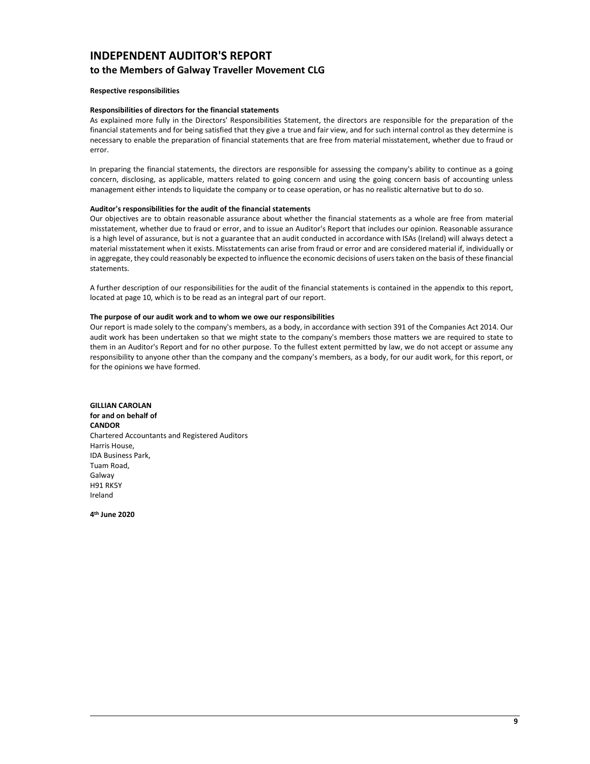# INDEPENDENT AUDITOR'S REPORT

### to the Members of Galway Traveller Movement CLG

### Respective responsibilities

### Responsibilities of directors for the financial statements

As explained more fully in the Directors' Responsibilities Statement, the directors are responsible for the preparation of the financial statements and for being satisfied that they give a true and fair view, and for such internal control as they determine is necessary to enable the preparation of financial statements that are free from material misstatement, whether due to fraud or error.

In preparing the financial statements, the directors are responsible for assessing the company's ability to continue as a going concern, disclosing, as applicable, matters related to going concern and using the going concern basis of accounting unless management either intends to liquidate the company or to cease operation, or has no realistic alternative but to do so.

### Auditor's responsibilities for the audit of the financial statements

Our objectives are to obtain reasonable assurance about whether the financial statements as a whole are free from material misstatement, whether due to fraud or error, and to issue an Auditor's Report that includes our opinion. Reasonable assurance is a high level of assurance, but is not a guarantee that an audit conducted in accordance with ISAs (Ireland) will always detect a material misstatement when it exists. Misstatements can arise from fraud or error and are considered material if, individually or in aggregate, they could reasonably be expected to influence the economic decisions of users taken on the basis of these financial statements.

A further description of our responsibilities for the audit of the financial statements is contained in the appendix to this report, located at page 10, which is to be read as an integral part of our report.

#### The purpose of our audit work and to whom we owe our responsibilities

Our report is made solely to the company's members, as a body, in accordance with section 391 of the Companies Act 2014. Our audit work has been undertaken so that we might state to the company's members those matters we are required to state to them in an Auditor's Report and for no other purpose. To the fullest extent permitted by law, we do not accept or assume any responsibility to anyone other than the company and the company's members, as a body, for our audit work, for this report, or for the opinions we have formed.

GILLIAN CAROLAN for and on behalf of CANDOR Chartered Accountants and Registered Auditors Harris House, IDA Business Park, Tuam Road, Galway H91 RK5Y Ireland

4 th June 2020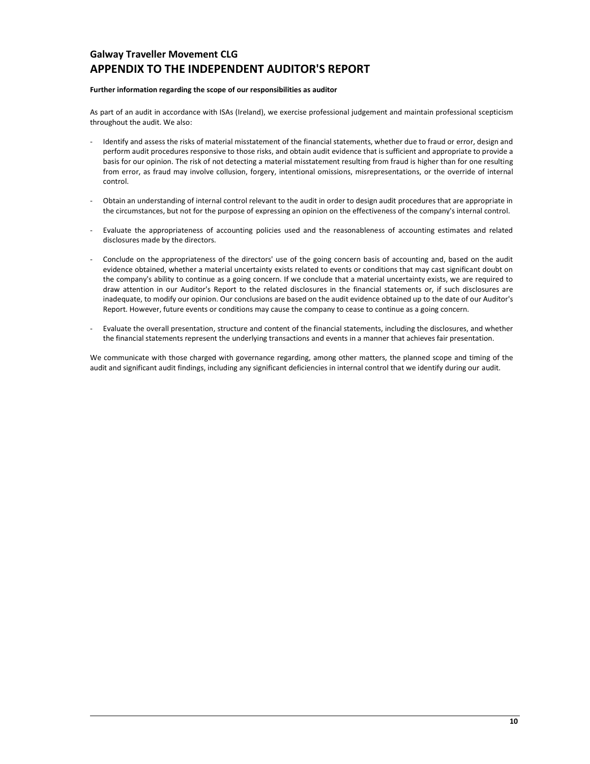## Galway Traveller Movement CLG APPENDIX TO THE INDEPENDENT AUDITOR'S REPORT

### Further information regarding the scope of our responsibilities as auditor

As part of an audit in accordance with ISAs (Ireland), we exercise professional judgement and maintain professional scepticism throughout the audit. We also:

- Identify and assess the risks of material misstatement of the financial statements, whether due to fraud or error, design and perform audit procedures responsive to those risks, and obtain audit evidence that is sufficient and appropriate to provide a basis for our opinion. The risk of not detecting a material misstatement resulting from fraud is higher than for one resulting from error, as fraud may involve collusion, forgery, intentional omissions, misrepresentations, or the override of internal control.
- Obtain an understanding of internal control relevant to the audit in order to design audit procedures that are appropriate in the circumstances, but not for the purpose of expressing an opinion on the effectiveness of the company's internal control.
- Evaluate the appropriateness of accounting policies used and the reasonableness of accounting estimates and related disclosures made by the directors.
- Conclude on the appropriateness of the directors' use of the going concern basis of accounting and, based on the audit evidence obtained, whether a material uncertainty exists related to events or conditions that may cast significant doubt on the company's ability to continue as a going concern. If we conclude that a material uncertainty exists, we are required to draw attention in our Auditor's Report to the related disclosures in the financial statements or, if such disclosures are inadequate, to modify our opinion. Our conclusions are based on the audit evidence obtained up to the date of our Auditor's Report. However, future events or conditions may cause the company to cease to continue as a going concern.
- Evaluate the overall presentation, structure and content of the financial statements, including the disclosures, and whether the financial statements represent the underlying transactions and events in a manner that achieves fair presentation.

We communicate with those charged with governance regarding, among other matters, the planned scope and timing of the audit and significant audit findings, including any significant deficiencies in internal control that we identify during our audit.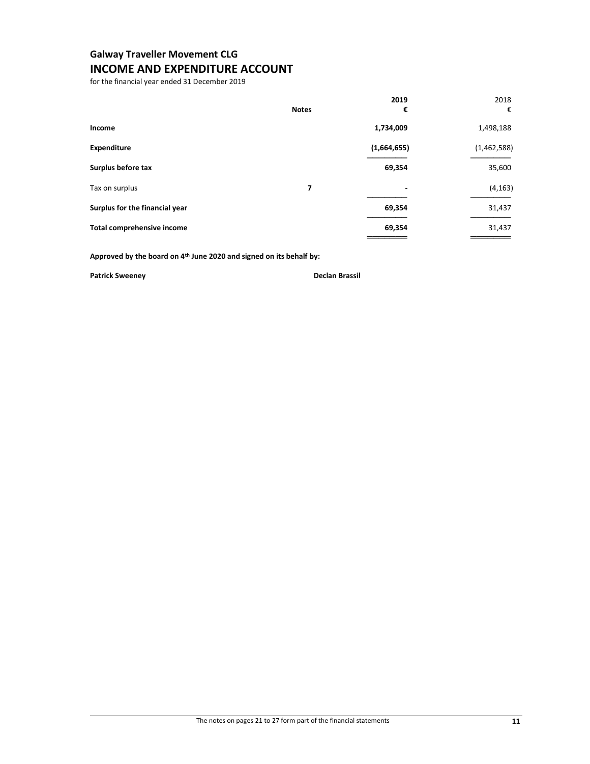# Galway Traveller Movement CLG INCOME AND EXPENDITURE ACCOUNT

for the financial year ended 31 December 2019

|                                | <b>Notes</b> | 2019<br>€   | 2018<br>€   |
|--------------------------------|--------------|-------------|-------------|
| Income                         |              | 1,734,009   | 1,498,188   |
| <b>Expenditure</b>             |              | (1,664,655) | (1,462,588) |
| Surplus before tax             |              | 69,354      | 35,600      |
| Tax on surplus                 | 7            |             | (4, 163)    |
| Surplus for the financial year |              | 69,354      | 31,437      |
| Total comprehensive income     |              | 69,354      | 31,437      |
|                                |              |             |             |

Approved by the board on 4th June 2020 and signed on its behalf by:

Patrick Sweeney **Declan Brassil**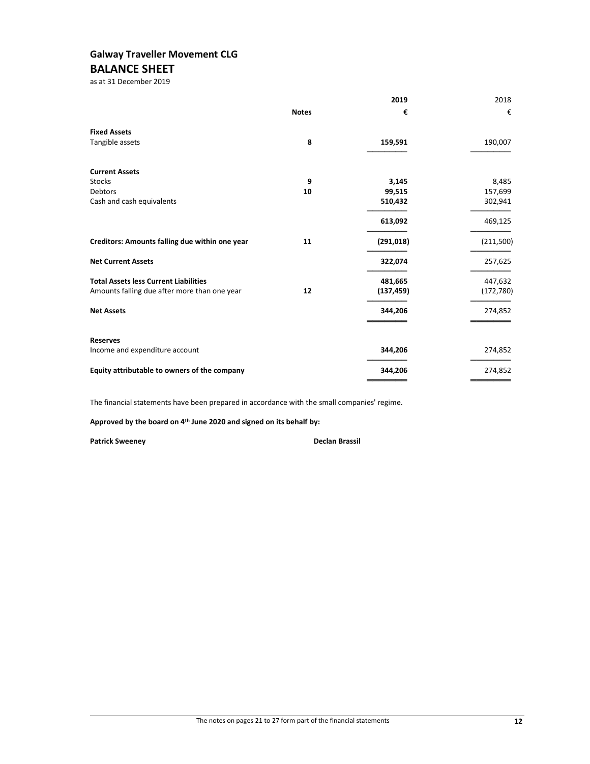# Galway Traveller Movement CLG BALANCE SHEET

as at 31 December 2019

|                                                |              | 2019       | 2018       |
|------------------------------------------------|--------------|------------|------------|
|                                                | <b>Notes</b> | €          | €          |
| <b>Fixed Assets</b>                            |              |            |            |
| Tangible assets                                | 8            | 159,591    | 190,007    |
| <b>Current Assets</b>                          |              |            |            |
| <b>Stocks</b>                                  | 9            | 3,145      | 8,485      |
| Debtors                                        | 10           | 99,515     | 157,699    |
| Cash and cash equivalents                      |              | 510,432    | 302,941    |
|                                                |              | 613,092    | 469,125    |
| Creditors: Amounts falling due within one year | 11           | (291, 018) | (211,500)  |
| <b>Net Current Assets</b>                      |              | 322,074    | 257,625    |
| <b>Total Assets less Current Liabilities</b>   |              | 481,665    | 447,632    |
| Amounts falling due after more than one year   | 12           | (137, 459) | (172, 780) |
| <b>Net Assets</b>                              |              | 344,206    | 274,852    |
| <b>Reserves</b>                                |              |            |            |
| Income and expenditure account                 |              | 344,206    | 274,852    |
| Equity attributable to owners of the company   |              | 344,206    | 274,852    |
|                                                |              |            |            |

The financial statements have been prepared in accordance with the small companies' regime.

Approved by the board on 4th June 2020 and signed on its behalf by:

Patrick Sweeney **Declares Patrick Sweeney**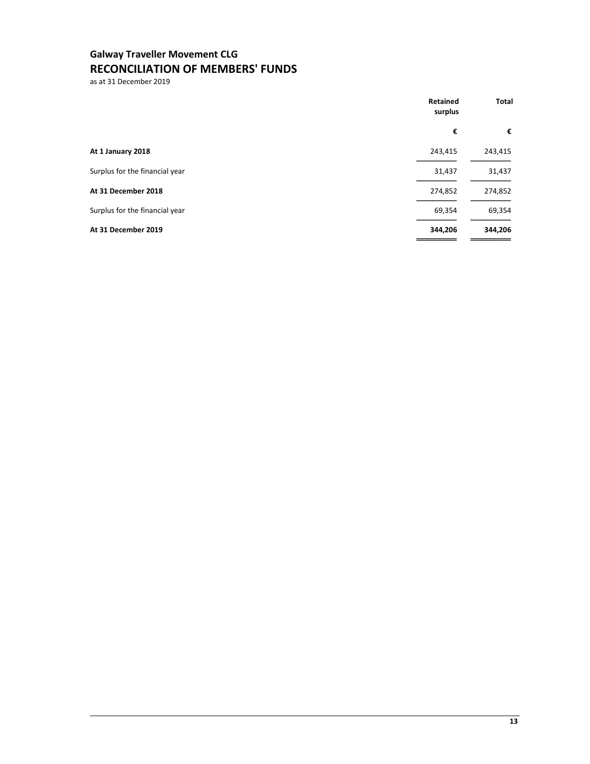# Galway Traveller Movement CLG RECONCILIATION OF MEMBERS' FUNDS

as at 31 December 2019

|                                | Retained<br>surplus |         |
|--------------------------------|---------------------|---------|
|                                | €                   | €       |
| At 1 January 2018              | 243,415             | 243,415 |
| Surplus for the financial year | 31,437              | 31,437  |
| At 31 December 2018            | 274,852             | 274,852 |
| Surplus for the financial year | 69,354              | 69,354  |
| At 31 December 2019            | 344,206             | 344,206 |
|                                |                     |         |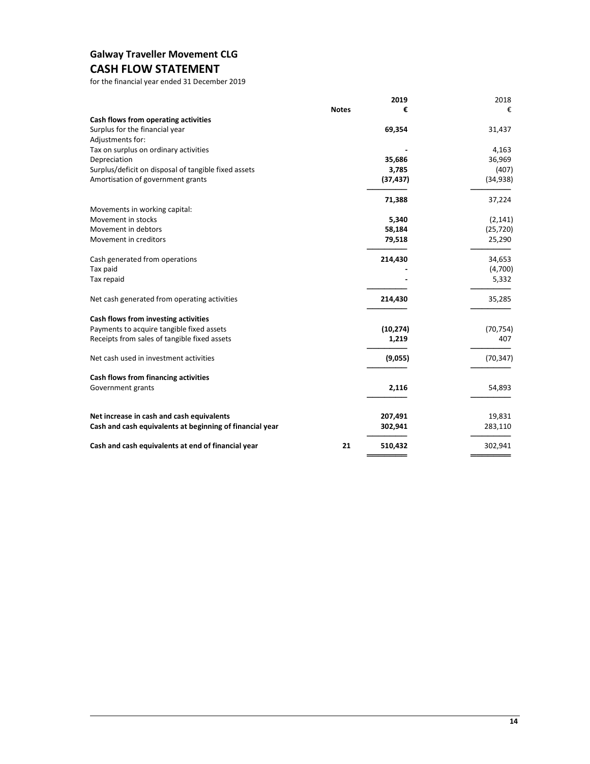# Galway Traveller Movement CLG CASH FLOW STATEMENT

|                                                          |              | 2019      | 2018      |
|----------------------------------------------------------|--------------|-----------|-----------|
|                                                          | <b>Notes</b> | €         | €         |
| Cash flows from operating activities                     |              |           |           |
| Surplus for the financial year                           |              | 69,354    | 31,437    |
| Adjustments for:                                         |              |           |           |
| Tax on surplus on ordinary activities                    |              |           | 4,163     |
| Depreciation                                             |              | 35,686    | 36,969    |
| Surplus/deficit on disposal of tangible fixed assets     |              | 3,785     | (407)     |
| Amortisation of government grants                        |              | (37, 437) | (34, 938) |
|                                                          |              | 71,388    | 37,224    |
| Movements in working capital:                            |              |           |           |
| Movement in stocks                                       |              | 5,340     | (2, 141)  |
| Movement in debtors                                      |              | 58,184    | (25, 720) |
| Movement in creditors                                    |              | 79,518    | 25,290    |
| Cash generated from operations                           |              | 214,430   | 34,653    |
| Tax paid                                                 |              |           | (4,700)   |
| Tax repaid                                               |              |           | 5,332     |
| Net cash generated from operating activities             |              | 214,430   | 35,285    |
| Cash flows from investing activities                     |              |           |           |
| Payments to acquire tangible fixed assets                |              | (10, 274) | (70, 754) |
| Receipts from sales of tangible fixed assets             |              | 1,219     | 407       |
| Net cash used in investment activities                   |              | (9,055)   | (70, 347) |
| Cash flows from financing activities                     |              |           |           |
| Government grants                                        |              | 2,116     | 54,893    |
| Net increase in cash and cash equivalents                |              | 207,491   | 19,831    |
| Cash and cash equivalents at beginning of financial year |              | 302,941   | 283,110   |
| Cash and cash equivalents at end of financial year       | 21           | 510,432   | 302,941   |
|                                                          |              |           |           |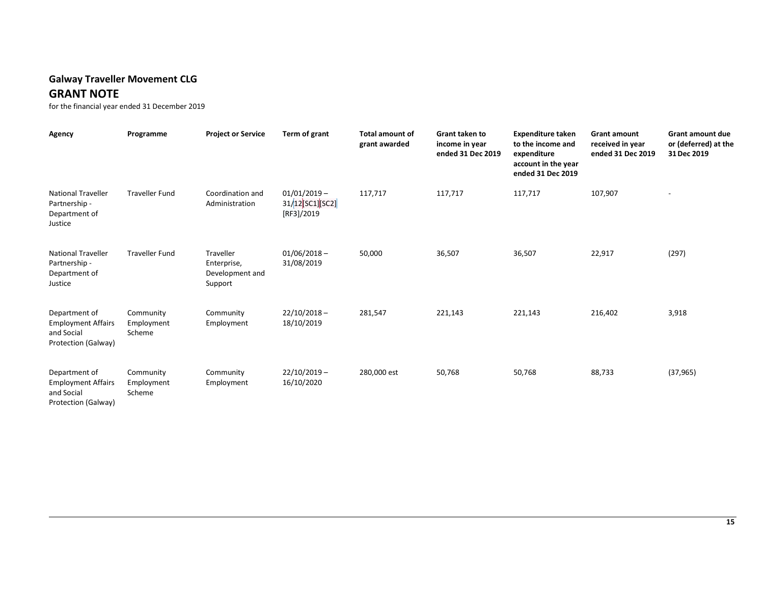for the financial year ended 31 December 2019

| Agency                                                                          | Programme                         | <b>Project or Service</b>                              | Term of grant                                     | <b>Total amount of</b><br>grant awarded | Grant taken to<br>income in year<br>ended 31 Dec 2019 | <b>Expenditure taken</b><br>to the income and<br>expenditure<br>account in the year<br>ended 31 Dec 2019 | <b>Grant amount</b><br>received in year<br>ended 31 Dec 2019 | <b>Grant amount due</b><br>or (deferred) at the<br>31 Dec 2019 |
|---------------------------------------------------------------------------------|-----------------------------------|--------------------------------------------------------|---------------------------------------------------|-----------------------------------------|-------------------------------------------------------|----------------------------------------------------------------------------------------------------------|--------------------------------------------------------------|----------------------------------------------------------------|
| <b>National Traveller</b><br>Partnership -<br>Department of<br>Justice          | <b>Traveller Fund</b>             | Coordination and<br>Administration                     | $01/01/2019 -$<br>31/12 [SC1] [SC2]<br>[RF3]/2019 | 117,717                                 | 117,717                                               | 117,717                                                                                                  | 107,907                                                      |                                                                |
| <b>National Traveller</b><br>Partnership -<br>Department of<br>Justice          | <b>Traveller Fund</b>             | Traveller<br>Enterprise,<br>Development and<br>Support | $01/06/2018 -$<br>31/08/2019                      | 50,000                                  | 36,507                                                | 36,507                                                                                                   | 22,917                                                       | (297)                                                          |
| Department of<br><b>Employment Affairs</b><br>and Social<br>Protection (Galway) | Community<br>Employment<br>Scheme | Community<br>Employment                                | $22/10/2018 -$<br>18/10/2019                      | 281,547                                 | 221,143                                               | 221,143                                                                                                  | 216,402                                                      | 3,918                                                          |
| Department of<br><b>Employment Affairs</b><br>and Social                        | Community<br>Employment<br>Scheme | Community<br>Employment                                | $22/10/2019 -$<br>16/10/2020                      | 280,000 est                             | 50,768                                                | 50,768                                                                                                   | 88,733                                                       | (37, 965)                                                      |

Protection (Galway)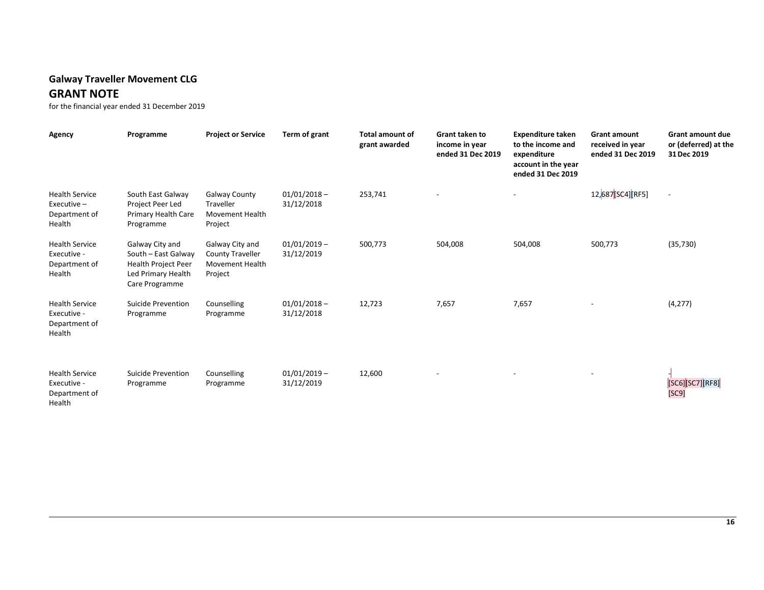| Agency                                                          | Programme                                                                                                    | <b>Project or Service</b>                                                | Term of grant                | <b>Total amount of</b><br>grant awarded | Grant taken to<br>income in year<br>ended 31 Dec 2019 | <b>Expenditure taken</b><br>to the income and<br>expenditure<br>account in the year<br>ended 31 Dec 2019 | <b>Grant amount</b><br>received in year<br>ended 31 Dec 2019 | <b>Grant amount due</b><br>or (deferred) at the<br>31 Dec 2019 |
|-----------------------------------------------------------------|--------------------------------------------------------------------------------------------------------------|--------------------------------------------------------------------------|------------------------------|-----------------------------------------|-------------------------------------------------------|----------------------------------------------------------------------------------------------------------|--------------------------------------------------------------|----------------------------------------------------------------|
| <b>Health Service</b><br>Executive-<br>Department of<br>Health  | South East Galway<br>Project Peer Led<br><b>Primary Health Care</b><br>Programme                             | <b>Galway County</b><br>Traveller<br><b>Movement Health</b><br>Project   | $01/01/2018 -$<br>31/12/2018 | 253,741                                 |                                                       | $\blacksquare$                                                                                           | 12,687 [SC4] [RF5]                                           | $\overline{\phantom{a}}$                                       |
| <b>Health Service</b><br>Executive -<br>Department of<br>Health | Galway City and<br>South - East Galway<br><b>Health Project Peer</b><br>Led Primary Health<br>Care Programme | Galway City and<br><b>County Traveller</b><br>Movement Health<br>Project | $01/01/2019 -$<br>31/12/2019 | 500,773                                 | 504,008                                               | 504,008                                                                                                  | 500,773                                                      | (35, 730)                                                      |
| <b>Health Service</b><br>Executive -<br>Department of<br>Health | Suicide Prevention<br>Programme                                                                              | Counselling<br>Programme                                                 | $01/01/2018 -$<br>31/12/2018 | 12,723                                  | 7,657                                                 | 7,657                                                                                                    |                                                              | (4, 277)                                                       |
| <b>Health Service</b><br>Executive -<br>Department of<br>Health | Suicide Prevention<br>Programme                                                                              | Counselling<br>Programme                                                 | $01/01/2019 -$<br>31/12/2019 | 12,600                                  |                                                       |                                                                                                          |                                                              | [SC6][SC7][RF8]<br>[SC9]                                       |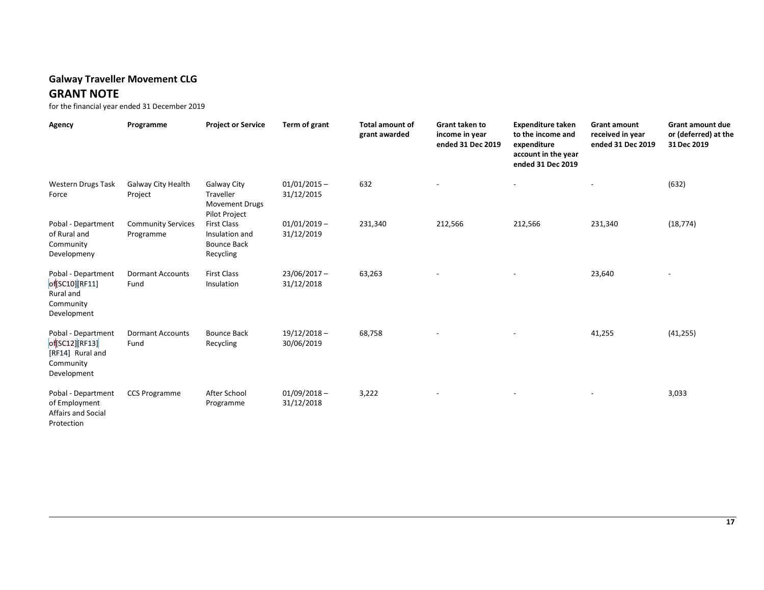| Agency                                                                               | Programme                              | <b>Project or Service</b>                                               | Term of grant                | <b>Total amount of</b><br>grant awarded | Grant taken to<br>income in year<br>ended 31 Dec 2019 | <b>Expenditure taken</b><br>to the income and<br>expenditure<br>account in the year<br>ended 31 Dec 2019 | <b>Grant amount</b><br>received in year<br>ended 31 Dec 2019 | <b>Grant amount due</b><br>or (deferred) at the<br>31 Dec 2019 |
|--------------------------------------------------------------------------------------|----------------------------------------|-------------------------------------------------------------------------|------------------------------|-----------------------------------------|-------------------------------------------------------|----------------------------------------------------------------------------------------------------------|--------------------------------------------------------------|----------------------------------------------------------------|
| <b>Western Drugs Task</b><br>Force                                                   | Galway City Health<br>Project          | Galway City<br>Traveller<br><b>Movement Drugs</b><br>Pilot Project      | $01/01/2015 -$<br>31/12/2015 | 632                                     |                                                       |                                                                                                          |                                                              | (632)                                                          |
| Pobal - Department<br>of Rural and<br>Community<br>Developmeny                       | <b>Community Services</b><br>Programme | <b>First Class</b><br>Insulation and<br><b>Bounce Back</b><br>Recycling | $01/01/2019 -$<br>31/12/2019 | 231,340                                 | 212,566                                               | 212,566                                                                                                  | 231,340                                                      | (18, 774)                                                      |
| Pobal - Department<br>of[SC10][RF11]<br>Rural and<br>Community<br>Development        | <b>Dormant Accounts</b><br>Fund        | <b>First Class</b><br>Insulation                                        | $23/06/2017 -$<br>31/12/2018 | 63,263                                  |                                                       |                                                                                                          | 23,640                                                       |                                                                |
| Pobal - Department<br>of[SC12][RF13]<br>[RF14] Rural and<br>Community<br>Development | <b>Dormant Accounts</b><br>Fund        | <b>Bounce Back</b><br>Recycling                                         | $19/12/2018 -$<br>30/06/2019 | 68,758                                  |                                                       |                                                                                                          | 41,255                                                       | (41, 255)                                                      |
| Pobal - Department<br>of Employment<br><b>Affairs and Social</b><br>Protection       | <b>CCS Programme</b>                   | After School<br>Programme                                               | $01/09/2018 -$<br>31/12/2018 | 3,222                                   |                                                       |                                                                                                          |                                                              | 3,033                                                          |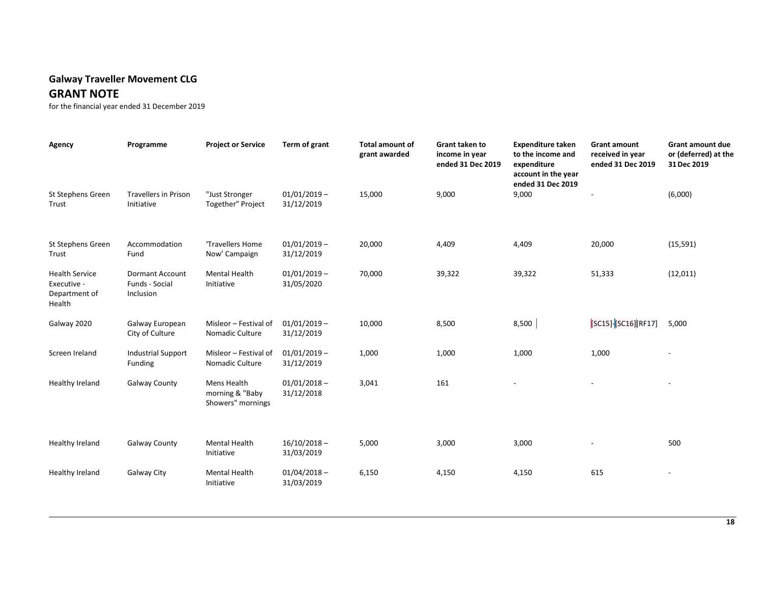| Agency                                                          | Programme                                      | <b>Project or Service</b>                           | Term of grant                | <b>Total amount of</b><br>grant awarded | Grant taken to<br>income in year<br>ended 31 Dec 2019 | <b>Expenditure taken</b><br>to the income and<br>expenditure<br>account in the year<br>ended 31 Dec 2019 | <b>Grant amount</b><br>received in year<br>ended 31 Dec 2019 | <b>Grant amount due</b><br>or (deferred) at the<br>31 Dec 2019 |
|-----------------------------------------------------------------|------------------------------------------------|-----------------------------------------------------|------------------------------|-----------------------------------------|-------------------------------------------------------|----------------------------------------------------------------------------------------------------------|--------------------------------------------------------------|----------------------------------------------------------------|
| St Stephens Green<br>Trust                                      | <b>Travellers in Prison</b><br>Initiative      | "Just Stronger<br>Together" Project                 | $01/01/2019 -$<br>31/12/2019 | 15,000                                  | 9,000                                                 | 9,000                                                                                                    |                                                              | (6,000)                                                        |
| St Stephens Green<br>Trust                                      | Accommodation<br>Fund                          | 'Travellers Home<br>Now' Campaign                   | $01/01/2019 -$<br>31/12/2019 | 20,000                                  | 4,409                                                 | 4,409                                                                                                    | 20,000                                                       | (15, 591)                                                      |
| <b>Health Service</b><br>Executive -<br>Department of<br>Health | Dormant Account<br>Funds - Social<br>Inclusion | Mental Health<br>Initiative                         | $01/01/2019 -$<br>31/05/2020 | 70,000                                  | 39,322                                                | 39,322                                                                                                   | 51,333                                                       | (12, 011)                                                      |
| Galway 2020                                                     | Galway European<br>City of Culture             | Misleor - Festival of<br>Nomadic Culture            | $01/01/2019 -$<br>31/12/2019 | 10,000                                  | 8,500                                                 | 8,500                                                                                                    | [SC15]-[SC16][RF17]                                          | 5,000                                                          |
| Screen Ireland                                                  | <b>Industrial Support</b><br>Funding           | Misleor - Festival of<br>Nomadic Culture            | $01/01/2019 -$<br>31/12/2019 | 1,000                                   | 1,000                                                 | 1,000                                                                                                    | 1,000                                                        |                                                                |
| Healthy Ireland                                                 | <b>Galway County</b>                           | Mens Health<br>morning & "Baby<br>Showers" mornings | $01/01/2018 -$<br>31/12/2018 | 3,041                                   | 161                                                   |                                                                                                          |                                                              |                                                                |
| Healthy Ireland                                                 | <b>Galway County</b>                           | <b>Mental Health</b><br>Initiative                  | $16/10/2018 -$<br>31/03/2019 | 5,000                                   | 3,000                                                 | 3,000                                                                                                    |                                                              | 500                                                            |
| Healthy Ireland                                                 | <b>Galway City</b>                             | <b>Mental Health</b><br>Initiative                  | $01/04/2018 -$<br>31/03/2019 | 6,150                                   | 4,150                                                 | 4,150                                                                                                    | 615                                                          | $\overline{\phantom{a}}$                                       |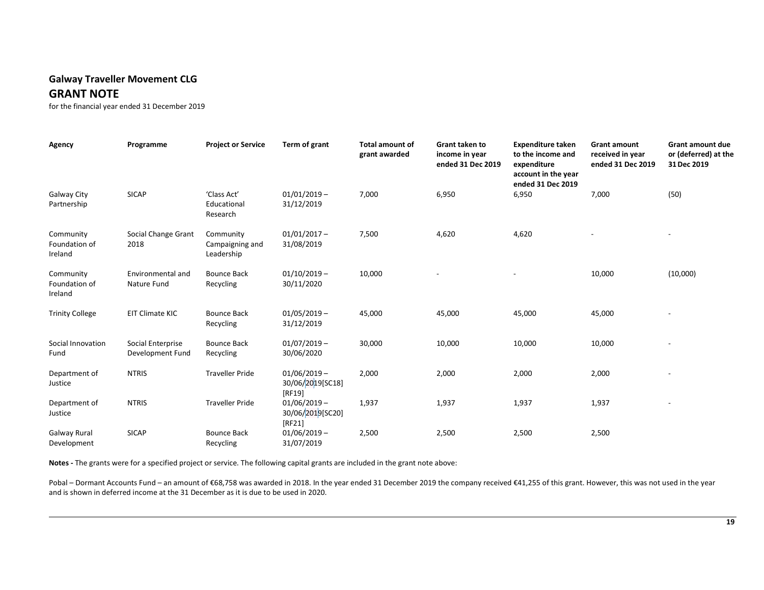for the financial year ended 31 December 2019

| Agency                                | Programme                             | <b>Project or Service</b>                  | Term of grant                                | <b>Total amount of</b><br>grant awarded | Grant taken to<br>income in year<br>ended 31 Dec 2019 | <b>Expenditure taken</b><br>to the income and<br>expenditure<br>account in the year<br>ended 31 Dec 2019 | <b>Grant amount</b><br>received in year<br>ended 31 Dec 2019 | <b>Grant amount due</b><br>or (deferred) at the<br>31 Dec 2019 |
|---------------------------------------|---------------------------------------|--------------------------------------------|----------------------------------------------|-----------------------------------------|-------------------------------------------------------|----------------------------------------------------------------------------------------------------------|--------------------------------------------------------------|----------------------------------------------------------------|
| Galway City<br>Partnership            | <b>SICAP</b>                          | 'Class Act'<br>Educational<br>Research     | $01/01/2019 -$<br>31/12/2019                 | 7,000                                   | 6,950                                                 | 6,950                                                                                                    | 7,000                                                        | (50)                                                           |
| Community<br>Foundation of<br>Ireland | Social Change Grant<br>2018           | Community<br>Campaigning and<br>Leadership | $01/01/2017 -$<br>31/08/2019                 | 7,500                                   | 4,620                                                 | 4,620                                                                                                    |                                                              |                                                                |
| Community<br>Foundation of<br>Ireland | Environmental and<br>Nature Fund      | <b>Bounce Back</b><br>Recycling            | $01/10/2019 -$<br>30/11/2020                 | 10,000                                  |                                                       |                                                                                                          | 10,000                                                       | (10,000)                                                       |
| <b>Trinity College</b>                | EIT Climate KIC                       | <b>Bounce Back</b><br>Recycling            | $01/05/2019 -$<br>31/12/2019                 | 45,000                                  | 45,000                                                | 45,000                                                                                                   | 45,000                                                       |                                                                |
| Social Innovation<br>Fund             | Social Enterprise<br>Development Fund | <b>Bounce Back</b><br>Recycling            | $01/07/2019 -$<br>30/06/2020                 | 30,000                                  | 10,000                                                | 10,000                                                                                                   | 10,000                                                       |                                                                |
| Department of<br>Justice              | <b>NTRIS</b>                          | <b>Traveller Pride</b>                     | $01/06/2019 -$<br>30/06/2019[SC18]<br>[RF19] | 2,000                                   | 2,000                                                 | 2,000                                                                                                    | 2,000                                                        |                                                                |
| Department of<br>Justice              | <b>NTRIS</b>                          | <b>Traveller Pride</b>                     | $01/06/2019 -$<br>30/06/2019[SC20]<br>[RF21] | 1,937                                   | 1,937                                                 | 1,937                                                                                                    | 1,937                                                        |                                                                |
| Galway Rural<br>Development           | <b>SICAP</b>                          | <b>Bounce Back</b><br>Recycling            | $01/06/2019 -$<br>31/07/2019                 | 2,500                                   | 2,500                                                 | 2,500                                                                                                    | 2,500                                                        |                                                                |

Notes - The grants were for a specified project or service. The following capital grants are included in the grant note above:

Pobal – Dormant Accounts Fund – an amount of €68,758 was awarded in 2018. In the year ended 31 December 2019 the company received €41,255 of this grant. However, this was not used in the year and is shown in deferred income at the 31 December as it is due to be used in 2020.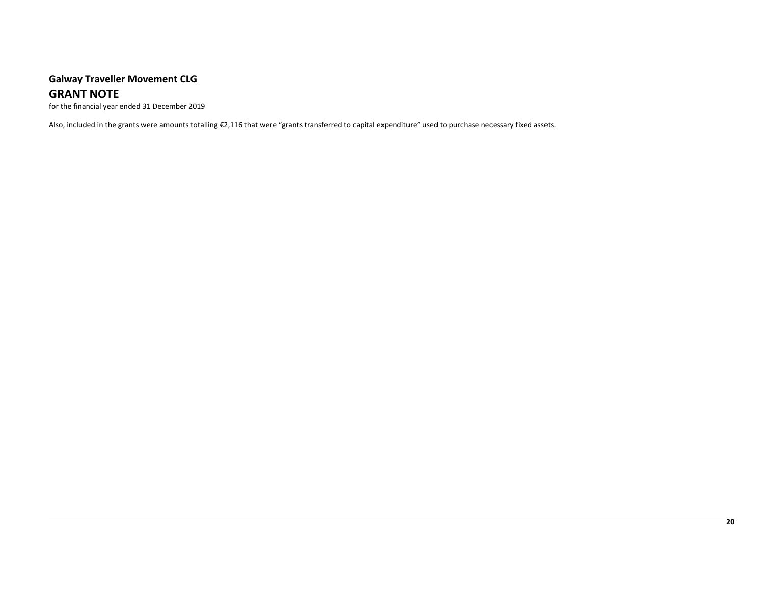for the financial year ended 31 December 2019

Also, included in the grants were amounts totalling €2,116 that were "grants transferred to capital expenditure" used to purchase necessary fixed assets.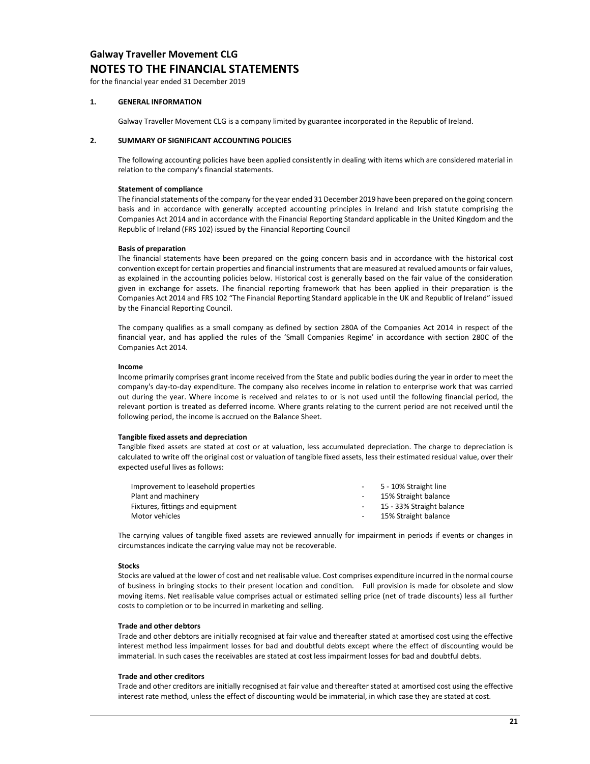## Galway Traveller Movement CLG NOTES TO THE FINANCIAL STATEMENTS

for the financial year ended 31 December 2019

### 1. GENERAL INFORMATION

Galway Traveller Movement CLG is a company limited by guarantee incorporated in the Republic of Ireland.

### 2. SUMMARY OF SIGNIFICANT ACCOUNTING POLICIES

 The following accounting policies have been applied consistently in dealing with items which are considered material in relation to the company's financial statements.

### Statement of compliance

 The financial statements of the company for the year ended 31 December 2019 have been prepared on the going concern basis and in accordance with generally accepted accounting principles in Ireland and Irish statute comprising the Companies Act 2014 and in accordance with the Financial Reporting Standard applicable in the United Kingdom and the Republic of Ireland (FRS 102) issued by the Financial Reporting Council

### Basis of preparation

The financial statements have been prepared on the going concern basis and in accordance with the historical cost convention except for certain properties and financial instruments that are measured at revalued amounts or fair values, as explained in the accounting policies below. Historical cost is generally based on the fair value of the consideration given in exchange for assets. The financial reporting framework that has been applied in their preparation is the Companies Act 2014 and FRS 102 "The Financial Reporting Standard applicable in the UK and Republic of Ireland" issued by the Financial Reporting Council.

The company qualifies as a small company as defined by section 280A of the Companies Act 2014 in respect of the financial year, and has applied the rules of the 'Small Companies Regime' in accordance with section 280C of the Companies Act 2014.

#### Income

Income primarily comprises grant income received from the State and public bodies during the year in order to meet the company's day-to-day expenditure. The company also receives income in relation to enterprise work that was carried out during the year. Where income is received and relates to or is not used until the following financial period, the relevant portion is treated as deferred income. Where grants relating to the current period are not received until the following period, the income is accrued on the Balance Sheet.

#### Tangible fixed assets and depreciation

Tangible fixed assets are stated at cost or at valuation, less accumulated depreciation. The charge to depreciation is calculated to write off the original cost or valuation of tangible fixed assets, less their estimated residual value, over their expected useful lives as follows:

| Improvement to leasehold properties | - 5 - 10% Straight line     |
|-------------------------------------|-----------------------------|
| Plant and machinery                 | - 15% Straight balance      |
| Fixtures, fittings and equipment    | - 15 - 33% Straight balance |
| Motor vehicles                      | - 15% Straight balance      |

The carrying values of tangible fixed assets are reviewed annually for impairment in periods if events or changes in circumstances indicate the carrying value may not be recoverable.

### Stocks

Stocks are valued at the lower of cost and net realisable value. Cost comprises expenditure incurred in the normal course of business in bringing stocks to their present location and condition. Full provision is made for obsolete and slow moving items. Net realisable value comprises actual or estimated selling price (net of trade discounts) less all further costs to completion or to be incurred in marketing and selling.

### Trade and other debtors

Trade and other debtors are initially recognised at fair value and thereafter stated at amortised cost using the effective interest method less impairment losses for bad and doubtful debts except where the effect of discounting would be immaterial. In such cases the receivables are stated at cost less impairment losses for bad and doubtful debts.

#### Trade and other creditors

 Trade and other creditors are initially recognised at fair value and thereafter stated at amortised cost using the effective interest rate method, unless the effect of discounting would be immaterial, in which case they are stated at cost.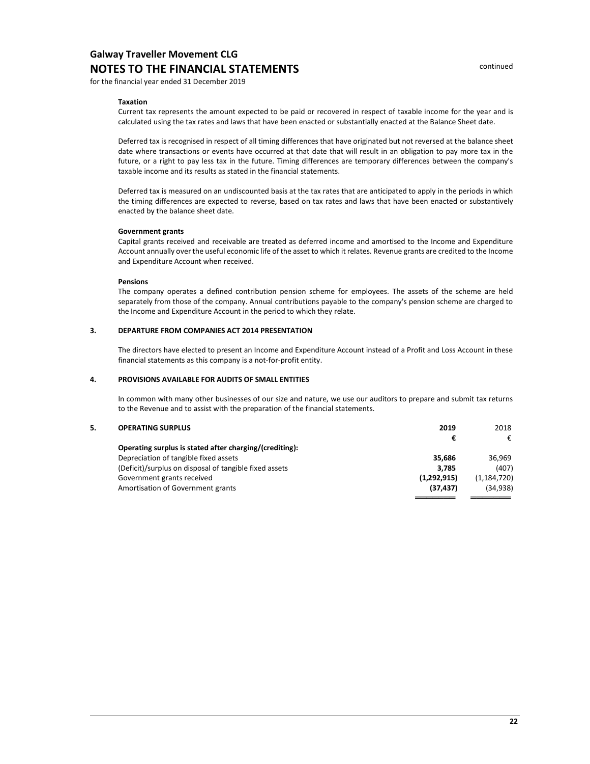# Galway Traveller Movement CLG **NOTES TO THE FINANCIAL STATEMENTS Example 2018 TO THE FINANCIAL STATEMENTS**

for the financial year ended 31 December 2019

#### Taxation

Current tax represents the amount expected to be paid or recovered in respect of taxable income for the year and is calculated using the tax rates and laws that have been enacted or substantially enacted at the Balance Sheet date.

Deferred tax is recognised in respect of all timing differences that have originated but not reversed at the balance sheet date where transactions or events have occurred at that date that will result in an obligation to pay more tax in the future, or a right to pay less tax in the future. Timing differences are temporary differences between the company's taxable income and its results as stated in the financial statements.

Deferred tax is measured on an undiscounted basis at the tax rates that are anticipated to apply in the periods in which the timing differences are expected to reverse, based on tax rates and laws that have been enacted or substantively enacted by the balance sheet date.

### Government grants

Capital grants received and receivable are treated as deferred income and amortised to the Income and Expenditure Account annually over the useful economic life of the asset to which it relates. Revenue grants are credited to the Income and Expenditure Account when received.

### Pensions

 The company operates a defined contribution pension scheme for employees. The assets of the scheme are held separately from those of the company. Annual contributions payable to the company's pension scheme are charged to the Income and Expenditure Account in the period to which they relate.

### 3. DEPARTURE FROM COMPANIES ACT 2014 PRESENTATION

The directors have elected to present an Income and Expenditure Account instead of a Profit and Loss Account in these financial statements as this company is a not-for-profit entity.

### 4. PROVISIONS AVAILABLE FOR AUDITS OF SMALL ENTITIES

In common with many other businesses of our size and nature, we use our auditors to prepare and submit tax returns to the Revenue and to assist with the preparation of the financial statements.

### 5. OPERATING SURPLUS **2019** 2018

|                                                         |             | €             |
|---------------------------------------------------------|-------------|---------------|
| Operating surplus is stated after charging/(crediting): |             |               |
| Depreciation of tangible fixed assets                   | 35.686      | 36.969        |
| (Deficit)/surplus on disposal of tangible fixed assets  | 3.785       | (407)         |
| Government grants received                              | (1,292,915) | (1, 184, 720) |
| Amortisation of Government grants                       | (37.437)    | (34.938)      |
|                                                         |             |               |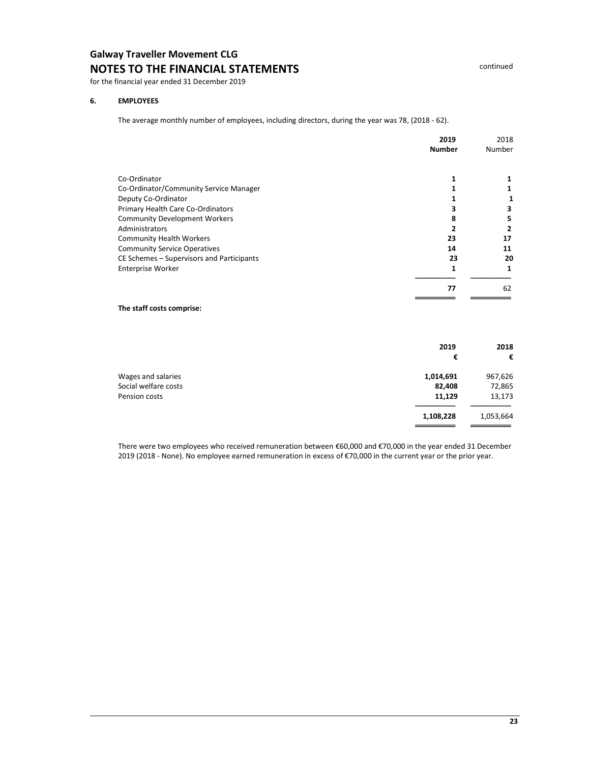# Galway Traveller Movement CLG NOTES TO THE FINANCIAL STATEMENTS **Example 20 and SCONTING COntinued** continued

for the financial year ended 31 December 2019

### 6. EMPLOYEES

The average monthly number of employees, including directors, during the year was 78, (2018 - 62).

|                                           | 2019          | 2018   |
|-------------------------------------------|---------------|--------|
|                                           | <b>Number</b> | Number |
| Co-Ordinator                              |               |        |
| Co-Ordinator/Community Service Manager    |               |        |
| Deputy Co-Ordinator                       |               |        |
| Primary Health Care Co-Ordinators         |               |        |
| <b>Community Development Workers</b>      |               |        |
| Administrators                            |               |        |
| <b>Community Health Workers</b>           | 23            | 17     |
| <b>Community Service Operatives</b>       | 14            | 11     |
| CE Schemes - Supervisors and Participants | 23            | 20     |
| Enterprise Worker                         |               | 1      |
|                                           | 77            | 62     |
|                                           |               |        |

### The staff costs comprise:

|                      | 2019<br>€ | 2018<br>€ |
|----------------------|-----------|-----------|
| Wages and salaries   | 1,014,691 | 967,626   |
| Social welfare costs | 82,408    | 72,865    |
| Pension costs        | 11,129    | 13,173    |
|                      | 1,108,228 | 1,053,664 |
|                      |           |           |

There were two employees who received remuneration between €60,000 and €70,000 in the year ended 31 December 2019 (2018 - None). No employee earned remuneration in excess of €70,000 in the current year or the prior year.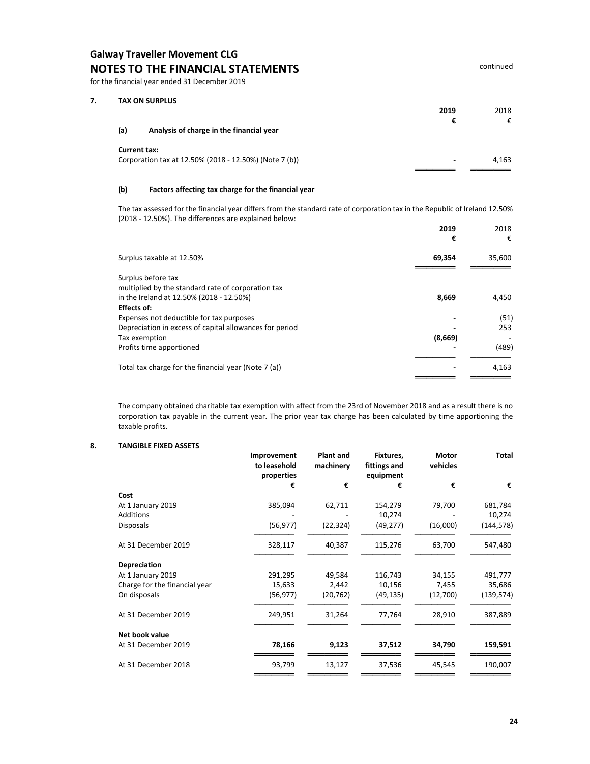# Galway Traveller Movement CLG NOTES TO THE FINANCIAL STATEMENTS **NOTES** TO THE FINANCIAL STATEMENTS

for the financial year ended 31 December 2019

### 7. TAX ON SURPLUS

|                     |                                                        | 2019                     | 2018  |
|---------------------|--------------------------------------------------------|--------------------------|-------|
|                     |                                                        | €                        | €     |
| (a)                 | Analysis of charge in the financial year               |                          |       |
| <b>Current tax:</b> |                                                        |                          |       |
|                     | Corporation tax at 12.50% (2018 - 12.50%) (Note 7 (b)) | $\overline{\phantom{0}}$ | 4.163 |
|                     |                                                        |                          |       |

### (b) Factors affecting tax charge for the financial year

The tax assessed for the financial year differs from the standard rate of corporation tax in the Republic of Ireland 12.50% (2018 - 12.50%). The differences are explained below:

|                                                         | 2019<br>€ | 2018<br>€ |
|---------------------------------------------------------|-----------|-----------|
|                                                         |           |           |
| Surplus taxable at 12.50%                               | 69,354    | 35,600    |
|                                                         |           |           |
| Surplus before tax                                      |           |           |
| multiplied by the standard rate of corporation tax      |           |           |
| in the Ireland at 12.50% (2018 - 12.50%)                | 8,669     | 4,450     |
| <b>Effects of:</b>                                      |           |           |
| Expenses not deductible for tax purposes                |           | (51)      |
| Depreciation in excess of capital allowances for period |           | 253       |
| Tax exemption                                           | (8,669)   |           |
| Profits time apportioned                                |           | (489)     |
| Total tax charge for the financial year (Note 7 (a))    |           | 4,163     |
|                                                         |           |           |

The company obtained charitable tax exemption with affect from the 23rd of November 2018 and as a result there is no corporation tax payable in the current year. The prior year tax charge has been calculated by time apportioning the taxable profits.

### 8. TANGIBLE FIXED ASSETS

| to leasehold<br>properties | machinery | fittings and<br>equipment | vehicles |            |
|----------------------------|-----------|---------------------------|----------|------------|
| €                          | €         | €                         | €        | €          |
|                            |           |                           |          |            |
| 385,094                    | 62,711    | 154,279                   | 79,700   | 681,784    |
|                            |           | 10,274                    |          | 10,274     |
| (56, 977)                  | (22, 324) | (49, 277)                 | (16,000) | (144, 578) |
| 328,117                    | 40,387    | 115,276                   | 63,700   | 547,480    |
|                            |           |                           |          |            |
| 291,295                    | 49,584    | 116,743                   | 34,155   | 491,777    |
| 15,633                     | 2,442     | 10,156                    | 7,455    | 35,686     |
| (56, 977)                  | (20, 762) | (49,135)                  | (12,700) | (139, 574) |
| 249,951                    | 31,264    | 77,764                    | 28,910   | 387,889    |
|                            |           |                           |          |            |
| 78,166                     | 9,123     | 37,512                    | 34,790   | 159,591    |
| 93,799                     | 13,127    | 37,536                    | 45,545   | 190,007    |
|                            |           |                           |          |            |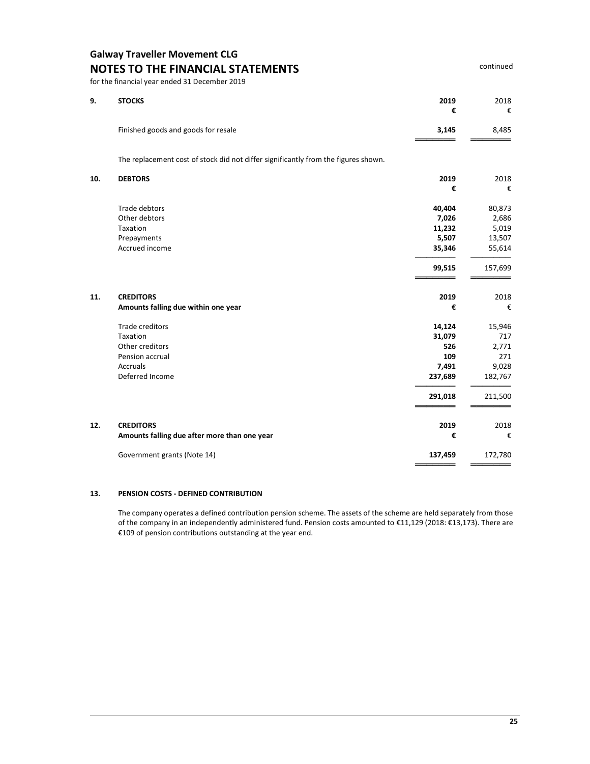# Galway Traveller Movement CLG NOTES TO THE FINANCIAL STATEMENTS **NOTES** TO THE FINANCIAL STATEMENTS

for the financial year ended 31 December 2019

| 9.  | <b>STOCKS</b>                                                                                           | 2019<br>€                                                     | 2018<br>€                                                    |
|-----|---------------------------------------------------------------------------------------------------------|---------------------------------------------------------------|--------------------------------------------------------------|
|     | Finished goods and goods for resale                                                                     | 3,145                                                         | 8,485                                                        |
|     | The replacement cost of stock did not differ significantly from the figures shown.                      |                                                               |                                                              |
| 10. | <b>DEBTORS</b>                                                                                          | 2019<br>€                                                     | 2018<br>€                                                    |
|     | Trade debtors<br>Other debtors<br>Taxation<br>Prepayments<br>Accrued income                             | 40,404<br>7,026<br>11,232<br>5,507<br>35,346<br>99,515        | 80,873<br>2,686<br>5,019<br>13,507<br>55,614<br>157,699      |
| 11. | <b>CREDITORS</b><br>Amounts falling due within one year                                                 | 2019<br>€                                                     | 2018<br>€                                                    |
|     | Trade creditors<br>Taxation<br>Other creditors<br>Pension accrual<br><b>Accruals</b><br>Deferred Income | 14,124<br>31,079<br>526<br>109<br>7,491<br>237,689<br>291,018 | 15,946<br>717<br>2,771<br>271<br>9,028<br>182,767<br>211,500 |
| 12. | <b>CREDITORS</b><br>Amounts falling due after more than one year                                        | 2019<br>€                                                     | 2018<br>€                                                    |
|     | Government grants (Note 14)                                                                             | 137,459                                                       | 172,780                                                      |

### 13. PENSION COSTS - DEFINED CONTRIBUTION

The company operates a defined contribution pension scheme. The assets of the scheme are held separately from those of the company in an independently administered fund. Pension costs amounted to €11,129 (2018: €13,173). There are €109 of pension contributions outstanding at the year end.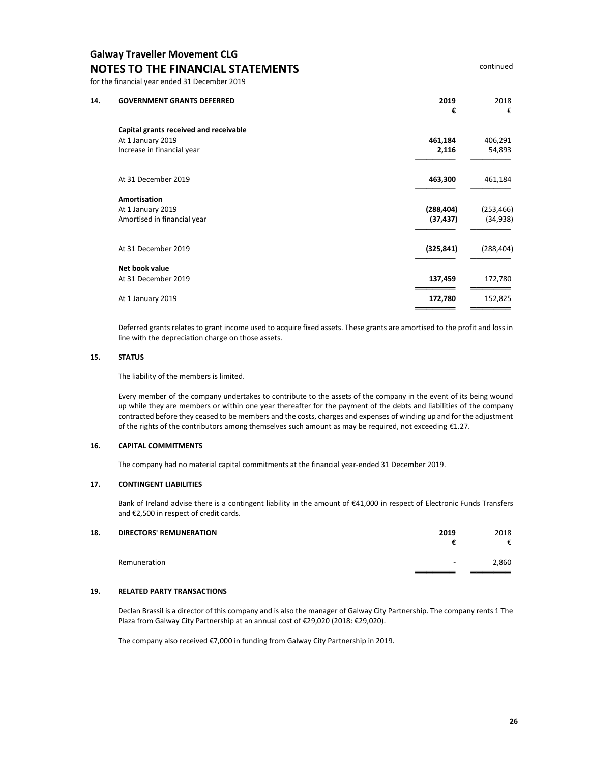## Galway Traveller Movement CLG **NOTES TO THE FINANCIAL STATEMENTS NOTES TO THE FINANCIAL STATEMENTS**

for the financial year ended 31 December 2019

| 14. | <b>GOVERNMENT GRANTS DEFERRED</b>      | 2019       | 2018       |
|-----|----------------------------------------|------------|------------|
|     |                                        | €          | €          |
|     | Capital grants received and receivable |            |            |
|     | At 1 January 2019                      | 461,184    | 406,291    |
|     | Increase in financial year             | 2,116      | 54,893     |
|     | At 31 December 2019                    | 463,300    | 461,184    |
|     | Amortisation                           |            |            |
|     | At 1 January 2019                      | (288, 404) | (253, 466) |
|     | Amortised in financial year            | (37, 437)  | (34, 938)  |
|     | At 31 December 2019                    | (325, 841) | (288, 404) |
|     | Net book value                         |            |            |
|     | At 31 December 2019                    | 137,459    | 172,780    |
|     | At 1 January 2019                      | 172,780    | 152,825    |
|     |                                        |            |            |

Deferred grants relates to grant income used to acquire fixed assets. These grants are amortised to the profit and loss in line with the depreciation charge on those assets.

### 15. STATUS

The liability of the members is limited.

Every member of the company undertakes to contribute to the assets of the company in the event of its being wound up while they are members or within one year thereafter for the payment of the debts and liabilities of the company contracted before they ceased to be members and the costs, charges and expenses of winding up and for the adjustment of the rights of the contributors among themselves such amount as may be required, not exceeding  $£1.27$ .

### 16. CAPITAL COMMITMENTS

The company had no material capital commitments at the financial year-ended 31 December 2019.

### 17. CONTINGENT LIABILITIES

 Bank of Ireland advise there is a contingent liability in the amount of €41,000 in respect of Electronic Funds Transfers and €2,500 in respect of credit cards.

| 18. | <b>DIRECTORS' REMUNERATION</b> | 2019           | 2018<br>€ |
|-----|--------------------------------|----------------|-----------|
|     | Remuneration                   | $\blacksquare$ | 2,860     |

### 19. RELATED PARTY TRANSACTIONS

 Declan Brassil is a director of this company and is also the manager of Galway City Partnership. The company rents 1 The Plaza from Galway City Partnership at an annual cost of €29,020 (2018: €29,020).

The company also received €7,000 in funding from Galway City Partnership in 2019.